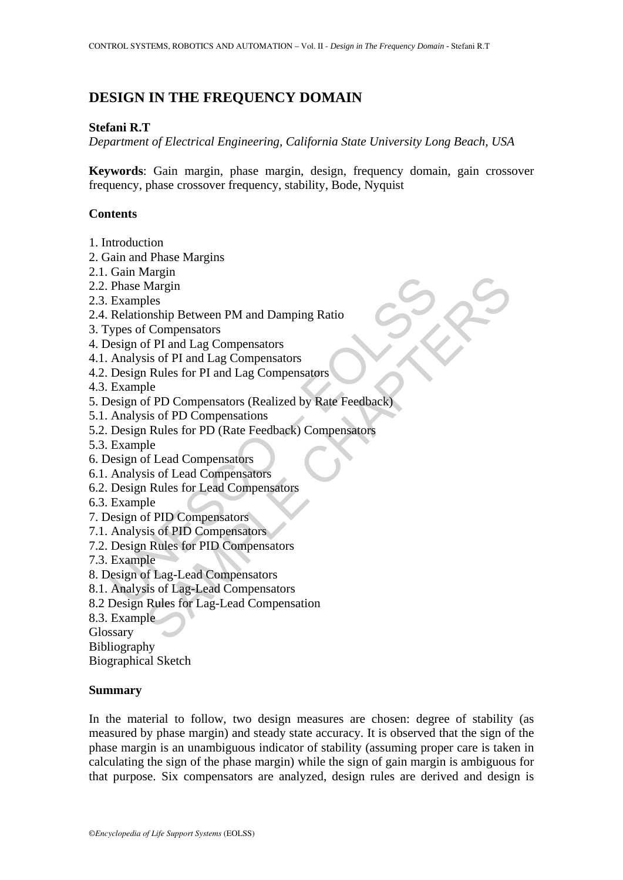# **DESIGN IN THE FREQUENCY DOMAIN**

### **Stefani R.T**

*Department of Electrical Engineering, California State University Long Beach, USA* 

**Keywords**: Gain margin, phase margin, design, frequency domain, gain crossover frequency, phase crossover frequency, stability, Bode, Nyquist

### **Contents**

- 1. Introduction
- 2. Gain and Phase Margins
- 2.1. Gain Margin
- 2.2. Phase Margin
- 2.3. Examples
- 2.4. Relationship Between PM and Damping Ratio
- 3. Types of Compensators
- 4. Design of PI and Lag Compensators
- 4.1. Analysis of PI and Lag Compensators
- 4.2. Design Rules for PI and Lag Compensators
- 4.3. Example
- Dania Margin<br>
Phase Margin<br>
Examples<br>
Relationship Between PM and Damping Ratio<br>
ypes of Compensators<br>
Analysis of PI and Lag Compensators<br>
Analysis of PI and Lag Compensators<br>
Example<br>
Design Rules for PD (Rate Feedback)<br> Margin<br>
Margin<br>
Margin<br>
Des<br>
Compensators<br>
Compensators<br>
SAMPLE Compensators<br>
SAMPLE Compensators<br>
SAMPLE Compensators<br>
SAMPLE Compensators<br>
SAMPLE CHAPTERS<br>
SAMPLE CHAPTERS<br>
SAMPLE CHAPTERS<br>
SAMPLE CHAPTERS<br>
SAMPLE CHAPTE 5. Design of PD Compensators (Realized by Rate Feedback)
- 5.1. Analysis of PD Compensations
- 5.2. Design Rules for PD (Rate Feedback) Compensators
- 5.3. Example
- 6. Design of Lead Compensators
- 6.1. Analysis of Lead Compensators
- 6.2. Design Rules for Lead Compensators
- 6.3. Example
- 7. Design of PID Compensators
- 7.1. Analysis of PID Compensators
- 7.2. Design Rules for PID Compensators
- 7.3. Example
- 8. Design of Lag-Lead Compensators
- 8.1. Analysis of Lag-Lead Compensators
- 8.2 Design Rules for Lag-Lead Compensation
- 8.3. Example
- Glossary

Bibliography

Biographical Sketch

#### **Summary**

In the material to follow, two design measures are chosen: degree of stability (as measured by phase margin) and steady state accuracy. It is observed that the sign of the phase margin is an unambiguous indicator of stability (assuming proper care is taken in calculating the sign of the phase margin) while the sign of gain margin is ambiguous for that purpose. Six compensators are analyzed, design rules are derived and design is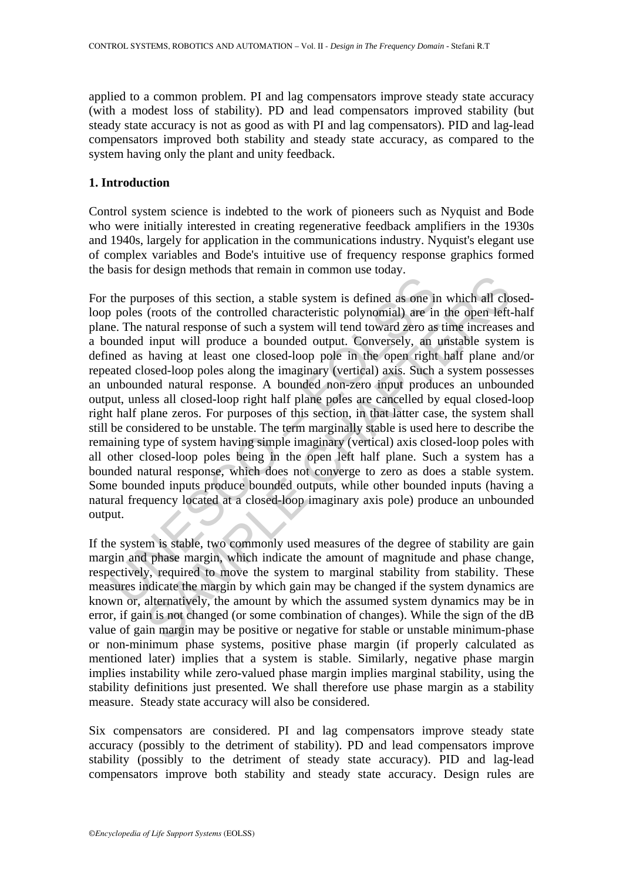applied to a common problem. PI and lag compensators improve steady state accuracy (with a modest loss of stability). PD and lead compensators improved stability (but steady state accuracy is not as good as with PI and lag compensators). PID and lag-lead compensators improved both stability and steady state accuracy, as compared to the system having only the plant and unity feedback.

### **1. Introduction**

Control system science is indebted to the work of pioneers such as Nyquist and Bode who were initially interested in creating regenerative feedback amplifiers in the 1930s and 1940s, largely for application in the communications industry. Nyquist's elegant use of complex variables and Bode's intuitive use of frequency response graphics formed the basis for design methods that remain in common use today.

be purposes of this section, a stable system is defined as one in poles (roots of the controlled characteristic polynomial) are in mean the system will tend toward zero as usual enduct a system will tend toward zero as und Francesos of this section, a stable system is defined and and clouss of the controlled characteristic polynomial) are in the open left (roots of the controlled characteristic polynomial) are in the open left matural respon For the purposes of this section, a stable system is defined as one in which all closedloop poles (roots of the controlled characteristic polynomial) are in the open left-half plane. The natural response of such a system will tend toward zero as time increases and a bounded input will produce a bounded output. Conversely, an unstable system is defined as having at least one closed-loop pole in the open right half plane and/or repeated closed-loop poles along the imaginary (vertical) axis. Such a system possesses an unbounded natural response. A bounded non-zero input produces an unbounded output, unless all closed-loop right half plane poles are cancelled by equal closed-loop right half plane zeros. For purposes of this section, in that latter case, the system shall still be considered to be unstable. The term marginally stable is used here to describe the remaining type of system having simple imaginary (vertical) axis closed-loop poles with all other closed-loop poles being in the open left half plane. Such a system has a bounded natural response, which does not converge to zero as does a stable system. Some bounded inputs produce bounded outputs, while other bounded inputs (having a natural frequency located at a closed-loop imaginary axis pole) produce an unbounded output.

If the system is stable, two commonly used measures of the degree of stability are gain margin and phase margin, which indicate the amount of magnitude and phase change, respectively, required to move the system to marginal stability from stability. These measures indicate the margin by which gain may be changed if the system dynamics are known or, alternatively, the amount by which the assumed system dynamics may be in error, if gain is not changed (or some combination of changes). While the sign of the dB value of gain margin may be positive or negative for stable or unstable minimum-phase or non-minimum phase systems, positive phase margin (if properly calculated as mentioned later) implies that a system is stable. Similarly, negative phase margin implies instability while zero-valued phase margin implies marginal stability, using the stability definitions just presented. We shall therefore use phase margin as a stability measure. Steady state accuracy will also be considered.

Six compensators are considered. PI and lag compensators improve steady state accuracy (possibly to the detriment of stability). PD and lead compensators improve stability (possibly to the detriment of steady state accuracy). PID and lag-lead compensators improve both stability and steady state accuracy. Design rules are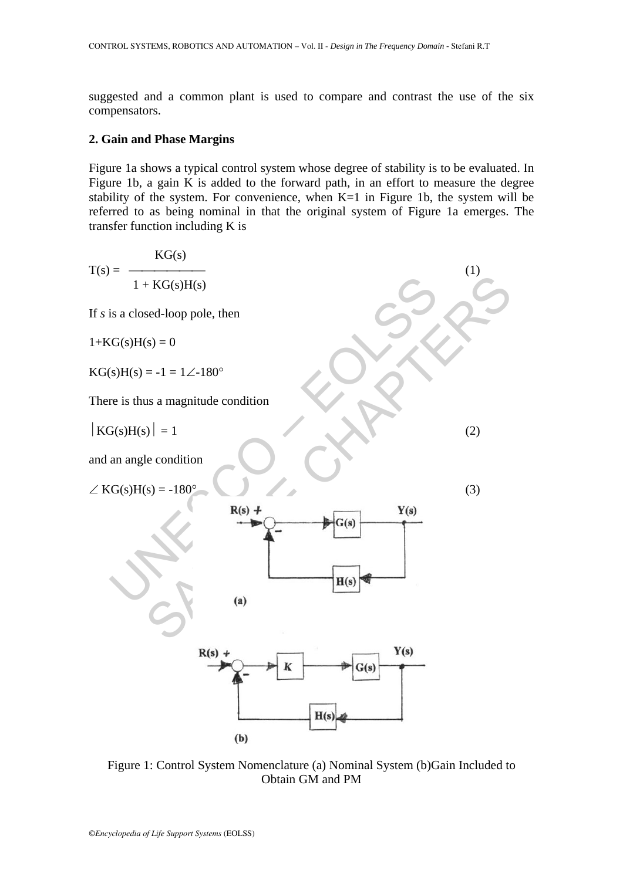suggested and a common plant is used to compare and contrast the use of the six compensators.

#### **2. Gain and Phase Margins**

Figure 1a shows a typical control system whose degree of stability is to be evaluated. In Figure 1b, a gain K is added to the forward path, in an effort to measure the degree stability of the system. For convenience, when K=1 in Figure 1b, the system will be referred to as being nominal in that the original system of Figure 1a emerges. The transfer function including K is



Figure 1: Control System Nomenclature (a) Nominal System (b)Gain Included to Obtain GM and PM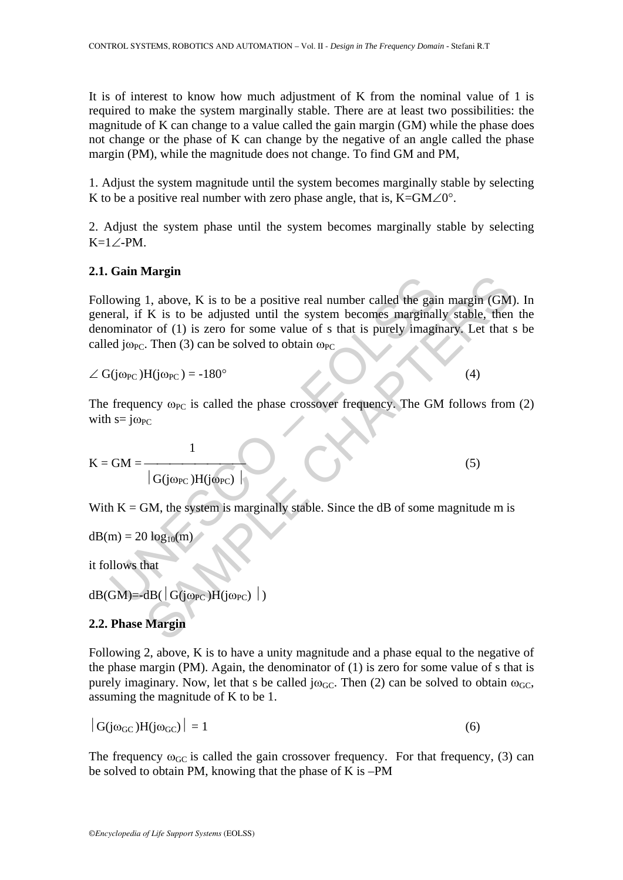It is of interest to know how much adjustment of K from the nominal value of 1 is required to make the system marginally stable. There are at least two possibilities: the magnitude of K can change to a value called the gain margin (GM) while the phase does not change or the phase of K can change by the negative of an angle called the phase margin (PM), while the magnitude does not change. To find GM and PM,

1. Adjust the system magnitude until the system becomes marginally stable by selecting K to be a positive real number with zero phase angle, that is,  $K=GM\angle 0^{\circ}$ .

2. Adjust the system phase until the system becomes marginally stable by selecting K=1∠-PM.

#### **2.1. Gain Margin**

out of the gain star and the system is may be a positive real number called the gain<br>
eral, if K is to be adjusted until the system becomes marginal<br>
ominator of (1) is zero for some value of s that is purely imagit<br>
d jo 31. above, K is to be a positive real number called the gain margin (GM<br>
K is to be adjusted until the system becomes marginally stable, then<br>
To for (1) is zero for some value of s that is purely imaginary. Let that<br>
The Following 1, above, K is to be a positive real number called the gain margin (GM). In general, if K is to be adjusted until the system becomes marginally stable, then the denominator of (1) is zero for some value of s that is purely imaginary. Let that s be called j $\omega_{PC}$ . Then (3) can be solved to obtain  $\omega_{PC}$ 

 $\angle G(j\omega_{PC})H(j\omega_{PC}) = -180^{\circ}$  (4)

The frequency  $\omega_{PC}$  is called the phase crossover frequency. The GM follows from (2) with  $s = j\omega_{PC}$ 

$$
K = GM = \frac{1}{|G(j\omega_{PC})H(j\omega_{PC})|}
$$
 (5)

With  $K = GM$ , the system is marginally stable. Since the dB of some magnitude m is

$$
dB(m) = 20 log_{10}(m)
$$

it follows that

 $dB(GM) = dB(\vert G(j\omega_{PC})H(j\omega_{PC}) \vert)$ 

#### **2.2. Phase Margin**

Following 2, above, K is to have a unity magnitude and a phase equal to the negative of the phase margin (PM). Again, the denominator of  $(1)$  is zero for some value of s that is purely imaginary. Now, let that s be called  $i\omega_{GC}$ . Then (2) can be solved to obtain  $\omega_{GC}$ . assuming the magnitude of K to be 1.

$$
|G(j\omega_{GC})H(j\omega_{GC})| = 1
$$
 (6)

The frequency  $\omega_{\text{GC}}$  is called the gain crossover frequency. For that frequency, (3) can be solved to obtain PM, knowing that the phase of K is –PM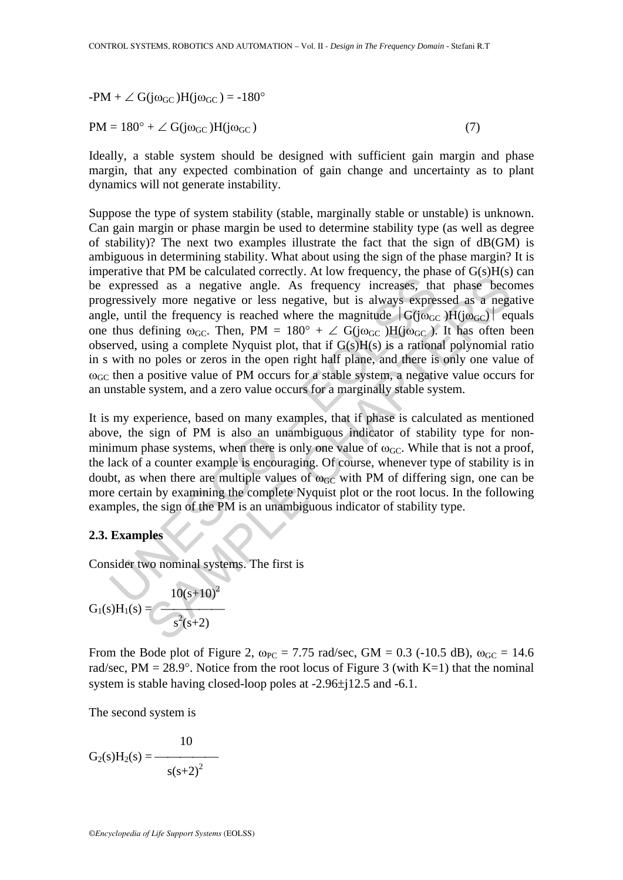$-PM + \angle G(j\omega_{GC})H(j\omega_{GC}) = -180^{\circ}$ 

 $PM = 180^{\circ} + \angle G(j\omega_{GC})H(j\omega_{GC})$  (7)

Ideally, a stable system should be designed with sufficient gain margin and phase margin, that any expected combination of gain change and uncertainty as to plant dynamics will not generate instability.

expressed as a negative angle. As frequency increases, the pressively more negative angle. As frequency increases, the generical expressively more negative or less negative, but is always expressively more negative or les and 1 and the concurred concerting. The total of the sign of the sign of the sign of the sign of the sign of the sign of the sign of the sign of the sign of the sign a complete Nyquist plot, that if G(s)H(s) is a rational Suppose the type of system stability (stable, marginally stable or unstable) is unknown. Can gain margin or phase margin be used to determine stability type (as well as degree of stability)? The next two examples illustrate the fact that the sign of dB(GM) is ambiguous in determining stability. What about using the sign of the phase margin? It is imperative that PM be calculated correctly. At low frequency, the phase of  $G(s)H(s)$  can be expressed as a negative angle. As frequency increases, that phase becomes progressively more negative or less negative, but is always expressed as a negative angle, until the frequency is reached where the magnitude  $|G(i\omega_{GC})|$  equals one thus defining  $\omega_{GC}$ . Then, PM = 180° +  $\angle$  G(j $\omega_{GC}$ ). It has often been observed, using a complete Nyquist plot, that if  $G(s)H(s)$  is a rational polynomial ratio in s with no poles or zeros in the open right half plane, and there is only one value of  $\omega_{\rm GC}$  then a positive value of PM occurs for a stable system, a negative value occurs for an unstable system, and a zero value occurs for a marginally stable system.

It is my experience, based on many examples, that if phase is calculated as mentioned above, the sign of PM is also an unambiguous indicator of stability type for nonminimum phase systems, when there is only one value of  $\omega_{\text{GC}}$ . While that is not a proof, the lack of a counter example is encouraging. Of course, whenever type of stability is in doubt, as when there are multiple values of  $\omega_{\text{GC}}$  with PM of differing sign, one can be more certain by examining the complete Nyquist plot or the root locus. In the following examples, the sign of the PM is an unambiguous indicator of stability type.

#### **2.3. Examples**

Consider two nominal systems. The first is

$$
G_1(s)H_1(s) = \frac{10(s+10)^2}{s^2(s+2)}
$$

From the Bode plot of Figure 2,  $\omega_{PC} = 7.75$  rad/sec, GM = 0.3 (-10.5 dB),  $\omega_{GC} = 14.6$ rad/sec, PM =  $28.9^{\circ}$ . Notice from the root locus of Figure 3 (with K=1) that the nominal system is stable having closed-loop poles at -2.96±j12.5 and -6.1.

The second system is

$$
G_2(s)H_2(s) = \frac{10}{s(s+2)^2}
$$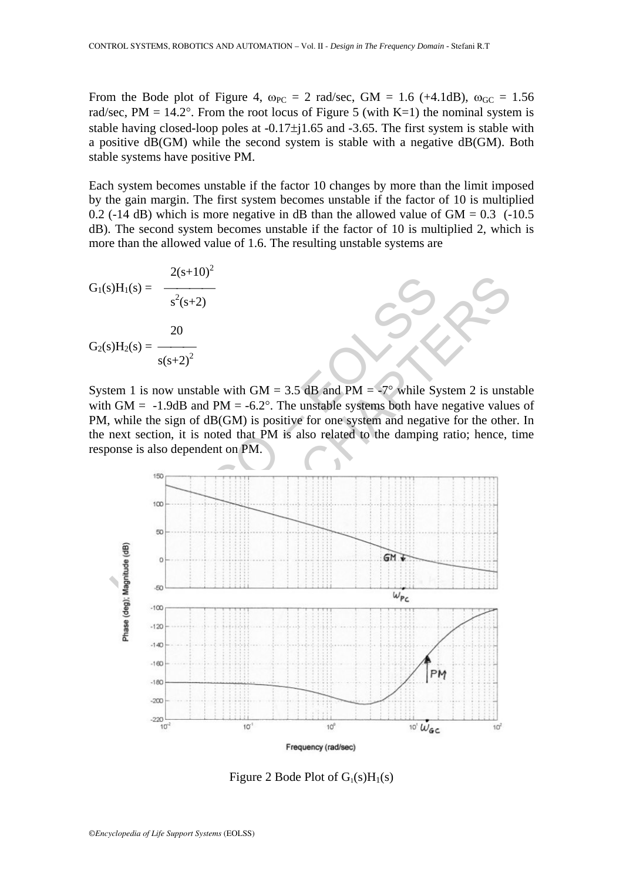From the Bode plot of Figure 4,  $\omega_{PC} = 2$  rad/sec, GM = 1.6 (+4.1dB),  $\omega_{GC} = 1.56$ rad/sec,  $PM = 14.2^{\circ}$ . From the root locus of Figure 5 (with K=1) the nominal system is stable having closed-loop poles at -0.17±j1.65 and -3.65. The first system is stable with a positive dB(GM) while the second system is stable with a negative dB(GM). Both stable systems have positive PM.

Each system becomes unstable if the factor 10 changes by more than the limit imposed by the gain margin. The first system becomes unstable if the factor of 10 is multiplied 0.2 (-14 dB) which is more negative in dB than the allowed value of  $GM = 0.3$  (-10.5) dB). The second system becomes unstable if the factor of 10 is multiplied 2, which is more than the allowed value of 1.6. The resulting unstable systems are

$$
G_1(s)H_1(s) = \frac{2(s+10)^2}{s^2(s+2)}
$$
  

$$
G_2(s)H_2(s) = \frac{20}{s(s+2)^2}
$$

System 1 is now unstable with GM =  $3.5$  dB and PM =  $-7^{\circ}$  while System 2 is unstable with GM =  $-1.9$ dB and PM =  $-6.2^{\circ}$ . The unstable systems both have negative values of PM, while the sign of  $dB(GM)$  is positive for one system and negative for the other. In the next section, it is noted that PM is also related to the damping ratio; hence, time response is also dependent on PM.



Figure 2 Bode Plot of  $G_1(s)H_1(s)$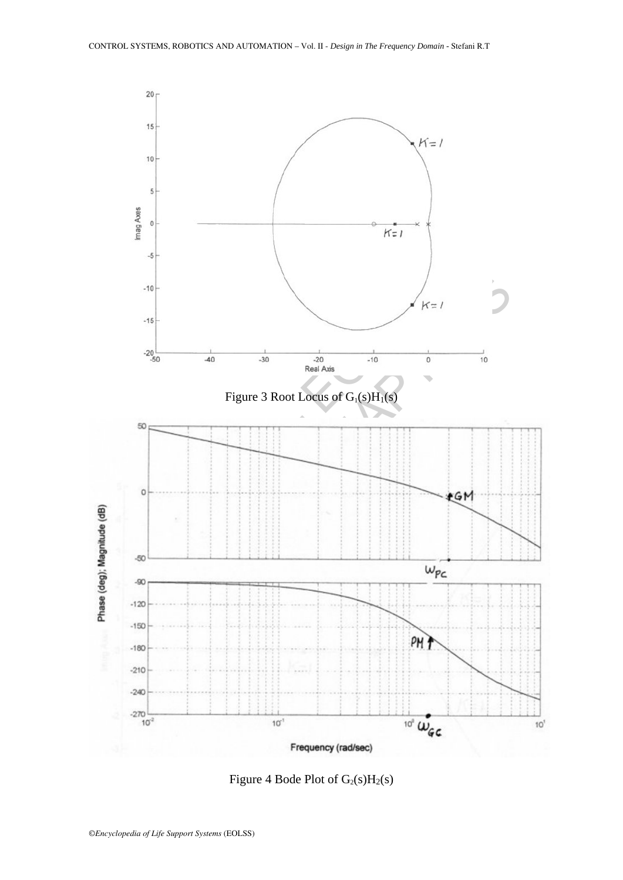

Figure 4 Bode Plot of  $G_2(s)H_2(s)$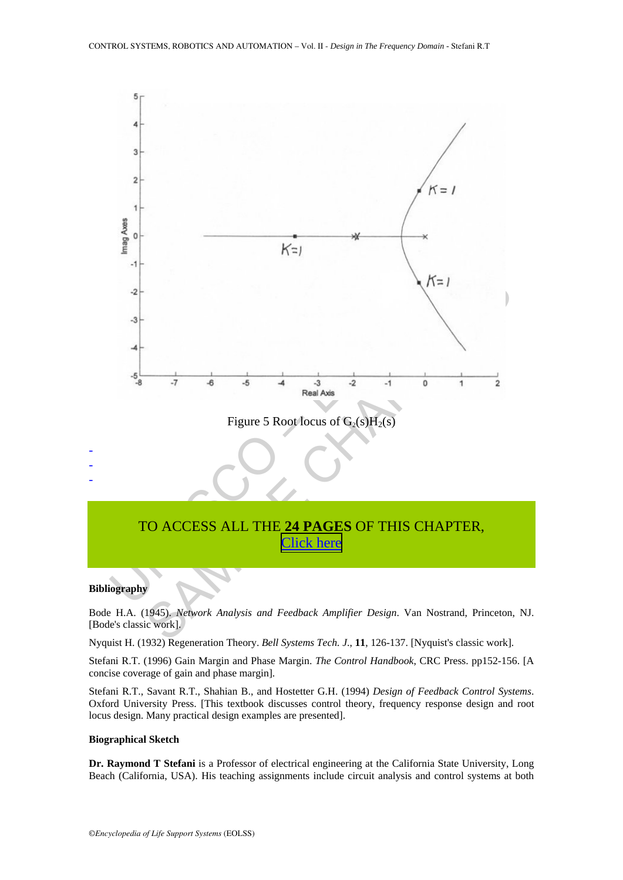

## TO ACCESS ALL THE **24 PAGES** OF THIS CHAPTER, Click here

#### **Bibliography**

Bode H.A. (1945). *Network Analysis and Feedback Amplifier Design*. Van Nostrand, Princeton, NJ. [Bode's classic work].

Nyquist H. (1932) Regeneration Theory. *Bell Systems Tech. J*., **11**, 126-137. [Nyquist's classic work].

Stefani R.T. (1996) Gain Margin and Phase Margin. *The Control Handbook*, CRC Press. pp152-156. [A concise coverage of gain and phase margin].

Stefani R.T., Savant R.T., Shahian B., and Hostetter G.H. (1994) *Design of Feedback Control Systems*. Oxford University Press. [This textbook discusses control theory, frequency response design and root locus design. Many practical design examples are presented].

#### **Biographical Sketch**

**Dr. Raymond T Stefani** is a Professor of electrical engineering at the California State University, Long Beach (California, USA). His teaching assignments include circuit analysis and control systems at both